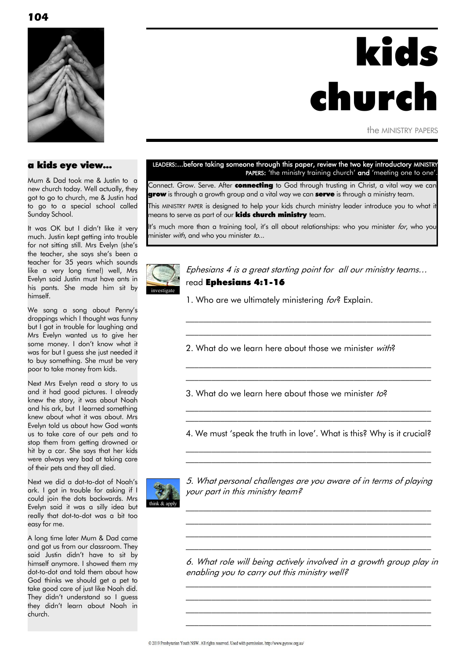

## a kids eye view...

Mum & Dad took me & Justin to a new church today. Well actually, they got to go to church, me & Justin had to go to a special school called Sunday School.

It was OK but I didn"t like it very much. Justin kept getting into trouble for not sitting still. Mrs Evelyn (she's the teacher, she says she"s been a teacher for 35 years which sounds like a very long time!) well, Mrs Evelyn said Justin must have ants in his pants. She made him sit by himself.

We sang a song about Penny's droppings which I thought was funny but I got in trouble for laughing and Mrs Evelyn wanted us to give her some money. I don't know what it was for but I guess she just needed it to buy something. She must be very poor to take money from kids.

Next Mrs Evelyn read a story to us and it had good pictures. I already knew the story, it was about Noah and his ark, but I learned something knew about what it was about. Mrs Evelyn told us about how God wants us to take care of our pets and to stop them from getting drowned or hit by a car. She says that her kids were always very bad at taking care of their pets and they all died.

Next we did a dot-to-dot of Noah"s ark. I got in trouble for asking if I could join the dots backwards. Mrs Evelyn said it was a silly idea but really that dot-to-dot was a bit too easy for me.

A long time later Mum & Dad came and got us from our classroom. They said Justin didn"t have to sit by himself anymore. I showed them my dot-to-dot and told them about how God thinks we should get a pet to take good care of just like Noah did. They didn't understand so I guess they didn"t learn about Noah in church.

# LEADERS:...before taking someone through this paper, review the two key introductory MINISTRY

kids

the MINISTRY PAPERS

church

PAPERS: 'the ministry training church' and 'meeting one to one'

Connect. Grow. Serve. After connecting to God through trusting in Christ, a vital way we can grow is through a growth group and a vital way we can serve is through a ministry team.

This MINISTRY PAPER is designed to help your kids church ministry leader introduce you to what it means to serve as part of our **kids church ministry** team.

It's much more than a training tool, it's all about relationships: who you minister for, who you minister with, and who you minister to...



Ephesians 4 is a great starting point for all our ministry teams… read Ephesians 4:1-16

 $\mathcal{L}_\text{max}$  and the contract of the contract of the contract of the contract of the contract of the contract of  $\mathcal{L}_\text{max}$  and the contract of the contract of the contract of the contract of the contract of the contract of

\_\_\_\_\_\_\_\_\_\_\_\_\_\_\_\_\_\_\_\_\_\_\_\_\_\_\_\_\_\_\_\_\_\_\_\_\_\_\_\_\_\_\_\_\_\_\_\_\_\_\_\_\_\_\_\_\_  $\mathcal{L}_\text{max}$  and the contract of the contract of the contract of the contract of the contract of the contract of

1. Who are we ultimately ministering for? Explain.

2. What do we learn here about those we minister with?

3. What do we learn here about those we minister to?

4. We must 'speak the truth in love'. What is this? Why is it crucial?  $\mathcal{L}_\text{max}$  and the contract of the contract of the contract of the contract of the contract of the contract of

\_\_\_\_\_\_\_\_\_\_\_\_\_\_\_\_\_\_\_\_\_\_\_\_\_\_\_\_\_\_\_\_\_\_\_\_\_\_\_\_\_\_\_\_\_\_\_\_\_\_\_\_\_\_\_\_\_

 $\mathcal{L}_\text{max}$  and the contract of the contract of the contract of the contract of the contract of the contract of \_\_\_\_\_\_\_\_\_\_\_\_\_\_\_\_\_\_\_\_\_\_\_\_\_\_\_\_\_\_\_\_\_\_\_\_\_\_\_\_\_\_\_\_\_\_\_\_\_\_\_\_\_\_\_\_\_



5. What personal challenges are you aware of in terms of playing your part in this ministry team?

 $\mathcal{L}_\text{max}$  and the contract of the contract of the contract of the contract of the contract of the contract of  $\mathcal{L}_\text{max}$  and the contract of the contract of the contract of the contract of the contract of the contract of \_\_\_\_\_\_\_\_\_\_\_\_\_\_\_\_\_\_\_\_\_\_\_\_\_\_\_\_\_\_\_\_\_\_\_\_\_\_\_\_\_\_\_\_\_\_\_\_\_\_\_\_\_\_\_\_\_  $\mathcal{L}_\text{max}$  and the contract of the contract of the contract of the contract of the contract of the contract of

6. What role will being actively involved in a growth group play in enabling you to carry out this ministry well?

 $\mathcal{L}_\text{max}$  and the contract of the contract of the contract of the contract of the contract of the contract of  $\mathcal{L}_\text{max}$  and the contract of the contract of the contract of the contract of the contract of the contract of \_\_\_\_\_\_\_\_\_\_\_\_\_\_\_\_\_\_\_\_\_\_\_\_\_\_\_\_\_\_\_\_\_\_\_\_\_\_\_\_\_\_\_\_\_\_\_\_\_\_\_\_\_\_\_\_\_  $\mathcal{L}_\text{max}$  and the contract of the contract of the contract of the contract of the contract of the contract of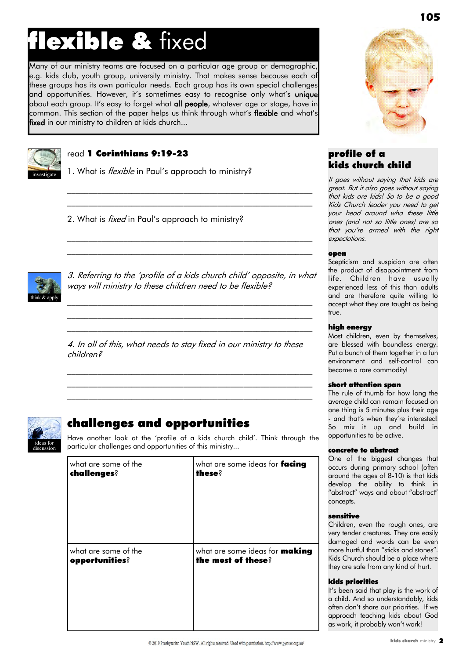# flexible & fixed

Many of our ministry teams are focused on a particular age group or demographic, e.g. kids club, youth group, university ministry. That makes sense because each of these groups has its own particular needs. Each group has its own special challenges and opportunities. However, it's sometimes easy to recognise only what's **unique** about each group. It's easy to forget what all people, whatever age or stage, have in common. This section of the paper helps us think through what's flexible and what's fixed in our ministry to children at kids church...



# read 1 Corinthians 9:19-23

1. What is *flexible* in Paul's approach to ministry?

2. What is *fixed* in Paul's approach to ministry?



3. Referring to the "profile of a kids church child" opposite, in what ways will ministry to these children need to be flexible?

 $\mathcal{L}_\text{max}$  and the contract of the contract of the contract of the contract of the contract of the contract of  $\mathcal{L}_\text{max}$  and the contract of the contract of the contract of the contract of the contract of the contract of  $\mathcal{L}_\text{max}$  and the contract of the contract of the contract of the contract of the contract of the contract of

\_\_\_\_\_\_\_\_\_\_\_\_\_\_\_\_\_\_\_\_\_\_\_\_\_\_\_\_\_\_\_\_\_\_\_\_\_\_\_\_\_\_\_\_\_\_\_\_\_\_\_\_\_\_\_\_\_ \_\_\_\_\_\_\_\_\_\_\_\_\_\_\_\_\_\_\_\_\_\_\_\_\_\_\_\_\_\_\_\_\_\_\_\_\_\_\_\_\_\_\_\_\_\_\_\_\_\_\_\_\_\_\_\_\_

 $\mathcal{L}_\text{max}$  and the contract of the contract of the contract of the contract of the contract of the contract of \_\_\_\_\_\_\_\_\_\_\_\_\_\_\_\_\_\_\_\_\_\_\_\_\_\_\_\_\_\_\_\_\_\_\_\_\_\_\_\_\_\_\_\_\_\_\_\_\_\_\_\_\_\_\_\_\_

4. In all of this, what needs to stay fixed in our ministry to these children?

 $\mathcal{L}_\text{max}$  and the contract of the contract of the contract of the contract of the contract of the contract of \_\_\_\_\_\_\_\_\_\_\_\_\_\_\_\_\_\_\_\_\_\_\_\_\_\_\_\_\_\_\_\_\_\_\_\_\_\_\_\_\_\_\_\_\_\_\_\_\_\_\_\_\_\_\_\_\_  $\mathcal{L}_\text{max}$  and the contract of the contract of the contract of the contract of the contract of the contract of



# challenges and opportunities

Have another look at the "profile of a kids church child". Think through the particular challenges and opportunities of this ministry...

| what are some of the | what are some ideas for facing        |
|----------------------|---------------------------------------|
| challenges?          | these?                                |
| what are some of the | what are some ideas for <b>making</b> |
| opportunities?       | the most of these?                    |



# profile of a kids church child

It goes without saying that kids are great. But it also goes without saying that kids are kids! So to be a good Kids Church leader you need to get your head around who these little ones (and not so little ones) are so that you"re armed with the right expectations.

#### open

Scepticism and suspicion are often the product of disappointment from life. Children have usually experienced less of this than adults and are therefore quite willing to accept what they are taught as being true.

#### high energy

Most children, even by themselves, are blessed with boundless energy. Put a bunch of them together in a fun environment and self-control can become a rare commodity!

#### short attention span

The rule of thumb for how long the average child can remain focused on one thing is 5 minutes plus their age - and that's when they're interested! So mix it up and build in opportunities to be active.

#### concrete to abstract

One of the biggest changes that occurs during primary school (often around the ages of 8-10) is that kids develop the ability to think in "abstract" ways and about "abstract" concepts.

#### sensitive

Children, even the rough ones, are very tender creatures. They are easily damaged and words can be even more hurtful than "sticks and stones". Kids Church should be a place where they are safe from any kind of hurt.

#### kids priorities

It"s been said that play is the work of a child. And so understandably, kids often don"t share our priorities. If we approach teaching kids about God as work, it probably won't work!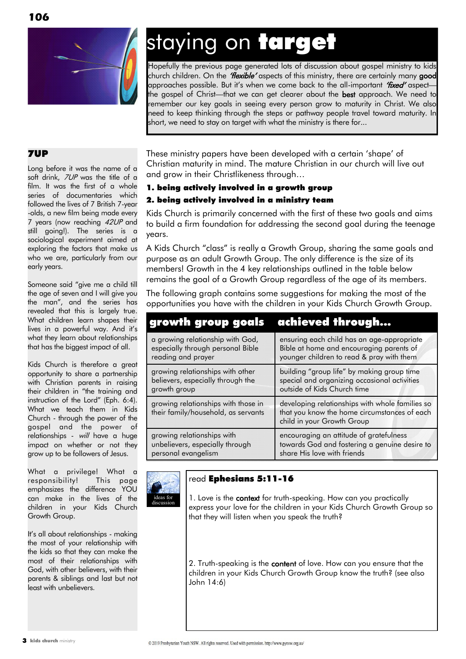

# staying on target

Hopefully the previous page generated lots of discussion about gospel ministry to kids church children. On the "Hexible" aspects of this ministry, there are certainly many good approaches possible. But it's when we come back to the all-important "fixed" aspectthe gospel of Christ—that we can get clearer about the best approach. We need to remember our key goals in seeing every person grow to maturity in Christ. We also need to keep thinking through the steps or pathway people travel toward maturity. In short, we need to stay on target with what the ministry is there for...

# 7UP

Long before it was the name of a soft drink, 7UP was the title of a film. It was the first of a whole series of documentaries which followed the lives of 7 British 7-year -olds, a new film being made every 7 years (now reaching 42UP and still going!). The series is a sociological experiment aimed at exploring the factors that make us who we are, particularly from our early years.

Someone said "give me a child till the age of seven and I will give you the man", and the series has revealed that this is largely true. What children learn shapes their lives in a powerful way. And it"s what they learn about relationships that has the biggest impact of all.

Kids Church is therefore a great opportunity to share a partnership with Christian parents in raising their children in "the training and instruction of the Lord" (Eph. 6:4). What we teach them in Kids Church - through the power of the gospel and the power of relationships - will have a huge impact on whether or not they grow up to be followers of Jesus.

What a privilege! What a responsibility! This page emphasizes the difference YOU can make in the lives of the children in your Kids Church Growth Group.

It"s all about relationships - making the most of your relationship with the kids so that they can make the most of their relationships with God, with other believers, with their parents & siblings and last but not least with unbelievers.

These ministry papers have been developed with a certain "shape" of Christian maturity in mind. The mature Christian in our church will live out and grow in their Christlikeness through…

# 1. being actively involved in a growth group 2. being actively involved in a ministry team

Kids Church is primarily concerned with the first of these two goals and aims to build a firm foundation for addressing the second goal during the teenage years.

A Kids Church "class" is really a Growth Group, sharing the same goals and purpose as an adult Growth Group. The only difference is the size of its members! Growth in the 4 key relationships outlined in the table below remains the goal of a Growth Group regardless of the age of its members.

The following graph contains some suggestions for making the most of the opportunities you have with the children in your Kids Church Growth Group.

| growth group goals achieved through                                                         |                                                                                                                                     |
|---------------------------------------------------------------------------------------------|-------------------------------------------------------------------------------------------------------------------------------------|
| a growing relationship with God,<br>especially through personal Bible<br>reading and prayer | ensuring each child has an age-appropriate<br>Bible at home and encouraging parents of<br>younger children to read & pray with them |
| growing relationships with other<br>believers, especially through the<br>growth group       | building "group life" by making group time<br>special and organizing occasional activities<br>outside of Kids Church time           |
| growing relationships with those in<br>their family/household, as servants                  | developing relationships with whole families so<br>that you know the home circumstances of each<br>child in your Growth Group       |
| growing relationships with<br>unbelievers, especially through<br>personal evangelism        | encouraging an attitude of gratefulness<br>towards God and fostering a genuine desire to<br>share His love with friends             |



# read Ephesians 5:11-16

1. Love is the context for truth-speaking. How can you practically express your love for the children in your Kids Church Growth Group so that they will listen when you speak the truth?

2. Truth-speaking is the content of love. How can you ensure that the children in your Kids Church Growth Group know the truth? (see also John 14:6)